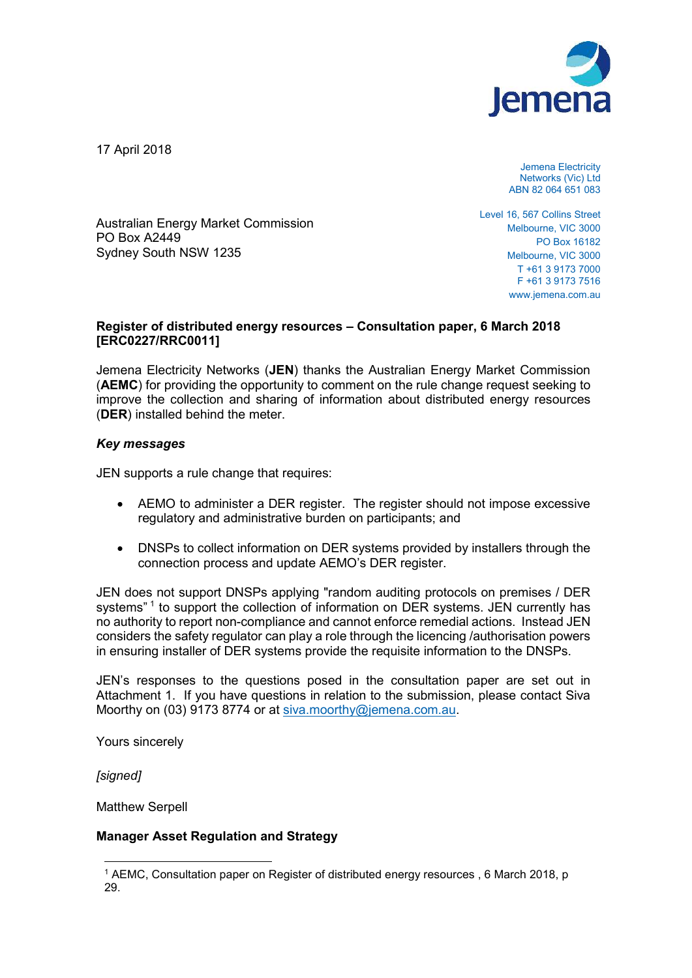

17 April 2018

Jemena Electricity Networks (Vic) Ltd ABN 82 064 651 083

Australian Energy Market Commission PO Box A2449 Sydney South NSW 1235

Level 16, 567 Collins Street Melbourne, VIC 3000 PO Box 16182 Melbourne, VIC 3000 T +61 3 9173 7000 F +61 3 9173 7516 www.jemena.com.au

## **Register of distributed energy resources – Consultation paper, 6 March 2018 [ERC0227/RRC0011]**

Jemena Electricity Networks (**JEN**) thanks the Australian Energy Market Commission (**AEMC**) for providing the opportunity to comment on the rule change request seeking to improve the collection and sharing of information about distributed energy resources (**DER**) installed behind the meter.

## *Key messages*

JEN supports a rule change that requires:

- AEMO to administer a DER register. The register should not impose excessive regulatory and administrative burden on participants; and
- DNSPs to collect information on DER systems provided by installers through the connection process and update AEMO's DER register.

JEN does not support DNSPs applying "random auditing protocols on premises / DER systems"<sup>1</sup> to support the collection of information on DER systems. JEN currently has no authority to report non-compliance and cannot enforce remedial actions. Instead JEN considers the safety regulator can play a role through the licencing /authorisation powers in ensuring installer of DER systems provide the requisite information to the DNSPs.

JEN's responses to the questions posed in the consultation paper are set out in Attachment 1. If you have questions in relation to the submission, please contact Siva Moorthy on (03) 9173 8774 or at siva.moorthy@jemena.com.au.

Yours sincerely

*[signed]* 

Matthew Serpell

## **Manager Asset Regulation and Strategy**

 $\overline{a}$ 1 AEMC, Consultation paper on Register of distributed energy resources , 6 March 2018, p 29.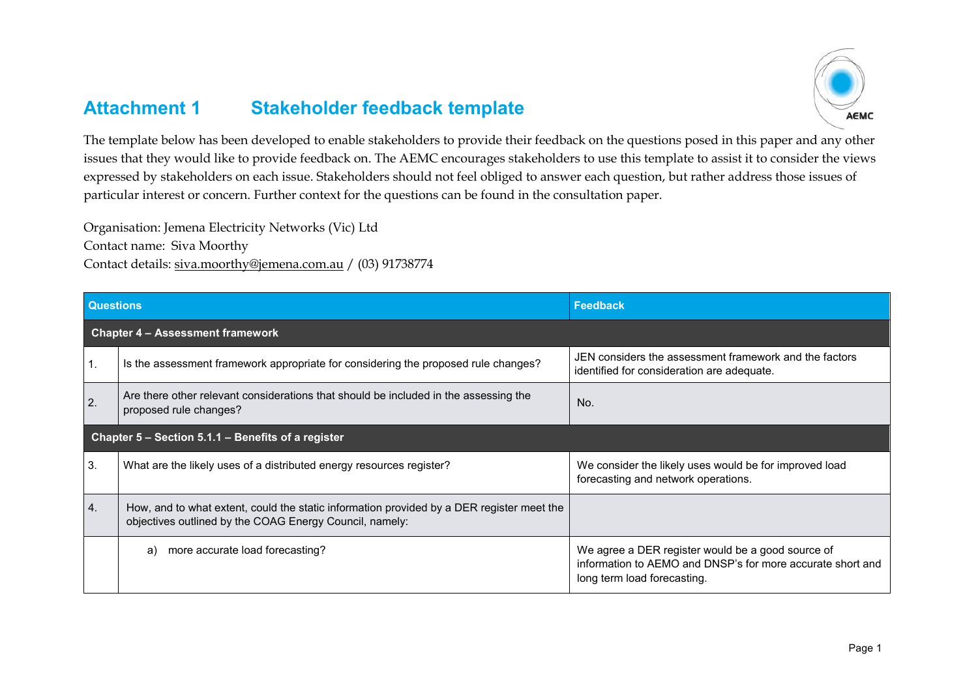## **Attachment 1 Stakeholder feedback template**



The template below has been developed to enable stakeholders to provide their feedback on the questions posed in this paper and any other issues that they would like to provide feedback on. The AEMC encourages stakeholders to use this template to assist it to consider the views expressed by stakeholders on each issue. Stakeholders should not feel obliged to answer each question, but rather address those issues of particular interest or concern. Further context for the questions can be found in the consultation paper.

Organisation: Jemena Electricity Networks (Vic) Ltd

Contact name: Siva Moorthy

Contact details: siva.moorthy@jemena.com.au / (03) 91738774

| <b>Questions</b>                                   |                                                                                                                                                      | <b>Feedback</b>                                                                                                                                |
|----------------------------------------------------|------------------------------------------------------------------------------------------------------------------------------------------------------|------------------------------------------------------------------------------------------------------------------------------------------------|
|                                                    | <b>Chapter 4 - Assessment framework</b>                                                                                                              |                                                                                                                                                |
| 1.                                                 | Is the assessment framework appropriate for considering the proposed rule changes?                                                                   | JEN considers the assessment framework and the factors<br>identified for consideration are adequate.                                           |
| 2.                                                 | Are there other relevant considerations that should be included in the assessing the<br>proposed rule changes?                                       | No.                                                                                                                                            |
| Chapter 5 – Section 5.1.1 – Benefits of a register |                                                                                                                                                      |                                                                                                                                                |
| 3.                                                 | What are the likely uses of a distributed energy resources register?                                                                                 | We consider the likely uses would be for improved load<br>forecasting and network operations.                                                  |
| 4.                                                 | How, and to what extent, could the static information provided by a DER register meet the<br>objectives outlined by the COAG Energy Council, namely: |                                                                                                                                                |
|                                                    | more accurate load forecasting?<br>a)                                                                                                                | We agree a DER register would be a good source of<br>information to AEMO and DNSP's for more accurate short and<br>long term load forecasting. |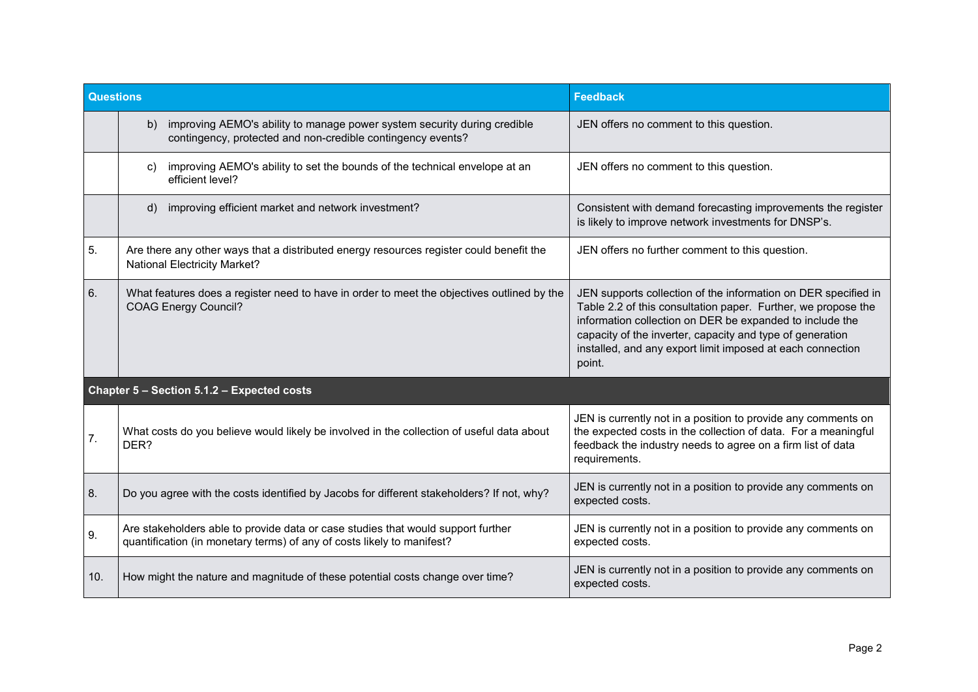| <b>Questions</b> |                                                                                                                                                            | <b>Feedback</b>                                                                                                                                                                                                                                                                                                                  |
|------------------|------------------------------------------------------------------------------------------------------------------------------------------------------------|----------------------------------------------------------------------------------------------------------------------------------------------------------------------------------------------------------------------------------------------------------------------------------------------------------------------------------|
|                  | improving AEMO's ability to manage power system security during credible<br>b)<br>contingency, protected and non-credible contingency events?              | JEN offers no comment to this question.                                                                                                                                                                                                                                                                                          |
|                  | improving AEMO's ability to set the bounds of the technical envelope at an<br>C)<br>efficient level?                                                       | JEN offers no comment to this question.                                                                                                                                                                                                                                                                                          |
|                  | improving efficient market and network investment?<br>$\mathsf{d}$                                                                                         | Consistent with demand forecasting improvements the register<br>is likely to improve network investments for DNSP's.                                                                                                                                                                                                             |
| 5.               | Are there any other ways that a distributed energy resources register could benefit the<br><b>National Electricity Market?</b>                             | JEN offers no further comment to this question.                                                                                                                                                                                                                                                                                  |
| 6.               | What features does a register need to have in order to meet the objectives outlined by the<br><b>COAG Energy Council?</b>                                  | JEN supports collection of the information on DER specified in<br>Table 2.2 of this consultation paper. Further, we propose the<br>information collection on DER be expanded to include the<br>capacity of the inverter, capacity and type of generation<br>installed, and any export limit imposed at each connection<br>point. |
|                  | Chapter 5 - Section 5.1.2 - Expected costs                                                                                                                 |                                                                                                                                                                                                                                                                                                                                  |
| 7.               | What costs do you believe would likely be involved in the collection of useful data about<br>DER?                                                          | JEN is currently not in a position to provide any comments on<br>the expected costs in the collection of data. For a meaningful<br>feedback the industry needs to agree on a firm list of data<br>requirements.                                                                                                                  |
| 8.               | Do you agree with the costs identified by Jacobs for different stakeholders? If not, why?                                                                  | JEN is currently not in a position to provide any comments on<br>expected costs.                                                                                                                                                                                                                                                 |
| 9.               | Are stakeholders able to provide data or case studies that would support further<br>quantification (in monetary terms) of any of costs likely to manifest? | JEN is currently not in a position to provide any comments on<br>expected costs.                                                                                                                                                                                                                                                 |
| 10.              | How might the nature and magnitude of these potential costs change over time?                                                                              | JEN is currently not in a position to provide any comments on<br>expected costs.                                                                                                                                                                                                                                                 |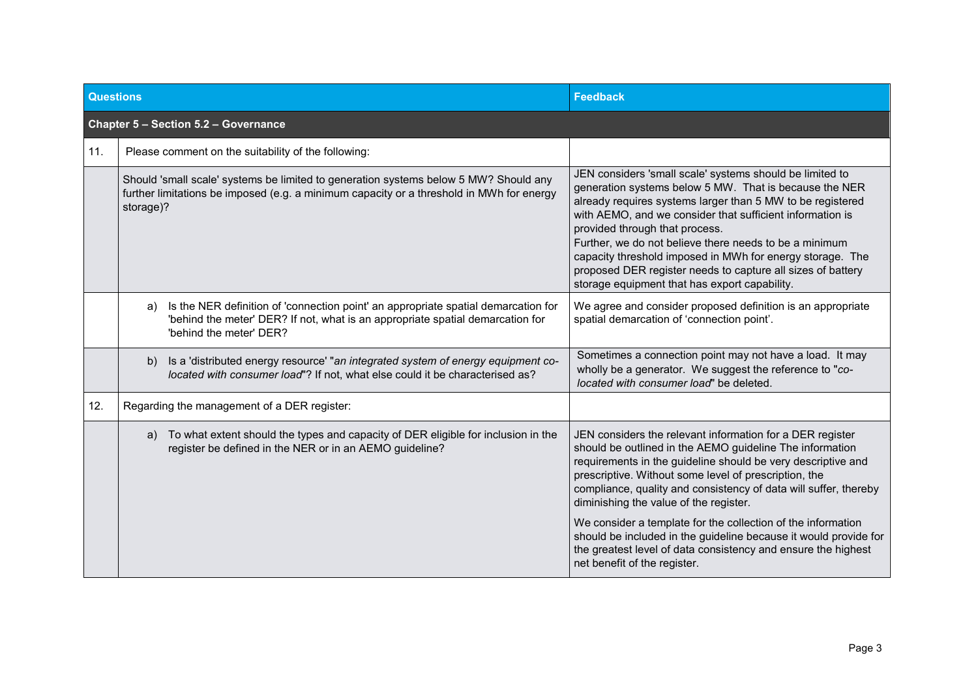| <b>Questions</b>                     |                                                                                                                                                                                                       | <b>Feedback</b>                                                                                                                                                                                                                                                                                                                                                                                                                                                                                                                                                                                   |
|--------------------------------------|-------------------------------------------------------------------------------------------------------------------------------------------------------------------------------------------------------|---------------------------------------------------------------------------------------------------------------------------------------------------------------------------------------------------------------------------------------------------------------------------------------------------------------------------------------------------------------------------------------------------------------------------------------------------------------------------------------------------------------------------------------------------------------------------------------------------|
| Chapter 5 - Section 5.2 - Governance |                                                                                                                                                                                                       |                                                                                                                                                                                                                                                                                                                                                                                                                                                                                                                                                                                                   |
| 11.                                  | Please comment on the suitability of the following:                                                                                                                                                   |                                                                                                                                                                                                                                                                                                                                                                                                                                                                                                                                                                                                   |
|                                      | Should 'small scale' systems be limited to generation systems below 5 MW? Should any<br>further limitations be imposed (e.g. a minimum capacity or a threshold in MWh for energy<br>storage)?         | JEN considers 'small scale' systems should be limited to<br>generation systems below 5 MW. That is because the NER<br>already requires systems larger than 5 MW to be registered<br>with AEMO, and we consider that sufficient information is<br>provided through that process.<br>Further, we do not believe there needs to be a minimum<br>capacity threshold imposed in MWh for energy storage. The<br>proposed DER register needs to capture all sizes of battery<br>storage equipment that has export capability.                                                                            |
|                                      | Is the NER definition of 'connection point' an appropriate spatial demarcation for<br>a)<br>'behind the meter' DER? If not, what is an appropriate spatial demarcation for<br>'behind the meter' DER? | We agree and consider proposed definition is an appropriate<br>spatial demarcation of 'connection point'.                                                                                                                                                                                                                                                                                                                                                                                                                                                                                         |
|                                      | Is a 'distributed energy resource' "an integrated system of energy equipment co-<br>b)<br>located with consumer load"? If not, what else could it be characterised as?                                | Sometimes a connection point may not have a load. It may<br>wholly be a generator. We suggest the reference to "co-<br>located with consumer load" be deleted.                                                                                                                                                                                                                                                                                                                                                                                                                                    |
| 12.                                  | Regarding the management of a DER register:                                                                                                                                                           |                                                                                                                                                                                                                                                                                                                                                                                                                                                                                                                                                                                                   |
|                                      | To what extent should the types and capacity of DER eligible for inclusion in the<br>a)<br>register be defined in the NER or in an AEMO guideline?                                                    | JEN considers the relevant information for a DER register<br>should be outlined in the AEMO guideline The information<br>requirements in the guideline should be very descriptive and<br>prescriptive. Without some level of prescription, the<br>compliance, quality and consistency of data will suffer, thereby<br>diminishing the value of the register.<br>We consider a template for the collection of the information<br>should be included in the guideline because it would provide for<br>the greatest level of data consistency and ensure the highest<br>net benefit of the register. |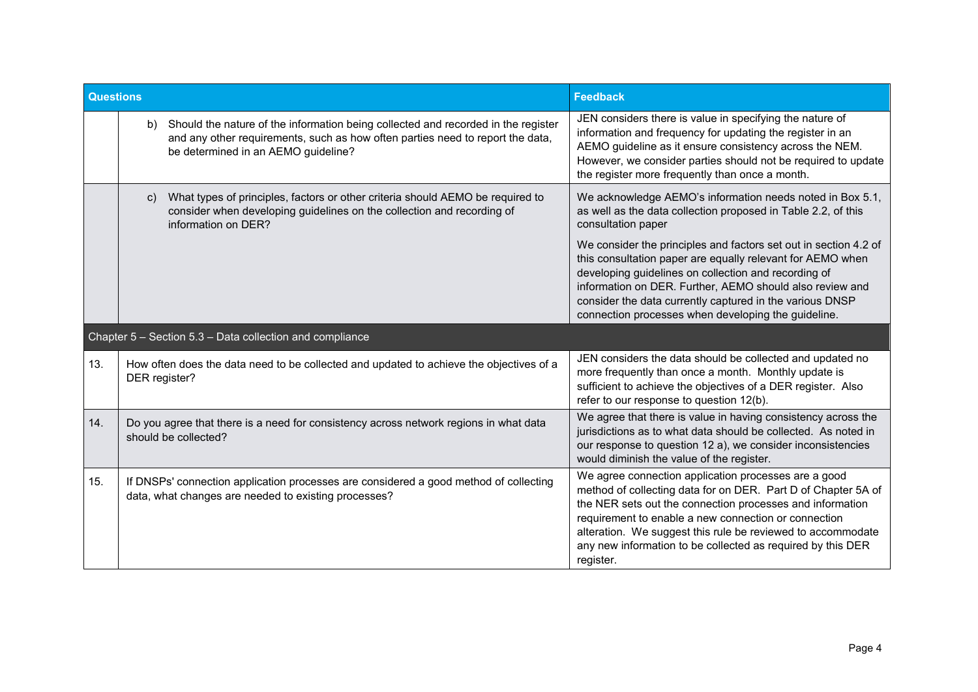| <b>Questions</b> |               |                                                                                                                                                                                                               | <b>Feedback</b>                                                                                                                                                                                                                                                                                                                                                                       |
|------------------|---------------|---------------------------------------------------------------------------------------------------------------------------------------------------------------------------------------------------------------|---------------------------------------------------------------------------------------------------------------------------------------------------------------------------------------------------------------------------------------------------------------------------------------------------------------------------------------------------------------------------------------|
|                  |               | b) Should the nature of the information being collected and recorded in the register<br>and any other requirements, such as how often parties need to report the data,<br>be determined in an AEMO guideline? | JEN considers there is value in specifying the nature of<br>information and frequency for updating the register in an<br>AEMO guideline as it ensure consistency across the NEM.<br>However, we consider parties should not be required to update<br>the register more frequently than once a month.                                                                                  |
|                  | $\mathsf{C}$  | What types of principles, factors or other criteria should AEMO be required to<br>consider when developing guidelines on the collection and recording of<br>information on DER?                               | We acknowledge AEMO's information needs noted in Box 5.1,<br>as well as the data collection proposed in Table 2.2, of this<br>consultation paper<br>We consider the principles and factors set out in section 4.2 of                                                                                                                                                                  |
|                  |               |                                                                                                                                                                                                               | this consultation paper are equally relevant for AEMO when<br>developing guidelines on collection and recording of<br>information on DER. Further, AEMO should also review and<br>consider the data currently captured in the various DNSP<br>connection processes when developing the guideline.                                                                                     |
|                  |               | Chapter 5 - Section 5.3 - Data collection and compliance                                                                                                                                                      |                                                                                                                                                                                                                                                                                                                                                                                       |
| 13.              | DER register? | How often does the data need to be collected and updated to achieve the objectives of a                                                                                                                       | JEN considers the data should be collected and updated no<br>more frequently than once a month. Monthly update is<br>sufficient to achieve the objectives of a DER register. Also<br>refer to our response to question 12(b).                                                                                                                                                         |
| 14.              |               | Do you agree that there is a need for consistency across network regions in what data<br>should be collected?                                                                                                 | We agree that there is value in having consistency across the<br>jurisdictions as to what data should be collected. As noted in<br>our response to question 12 a), we consider inconsistencies<br>would diminish the value of the register.                                                                                                                                           |
| 15.              |               | If DNSPs' connection application processes are considered a good method of collecting<br>data, what changes are needed to existing processes?                                                                 | We agree connection application processes are a good<br>method of collecting data for on DER. Part D of Chapter 5A of<br>the NER sets out the connection processes and information<br>requirement to enable a new connection or connection<br>alteration. We suggest this rule be reviewed to accommodate<br>any new information to be collected as required by this DER<br>register. |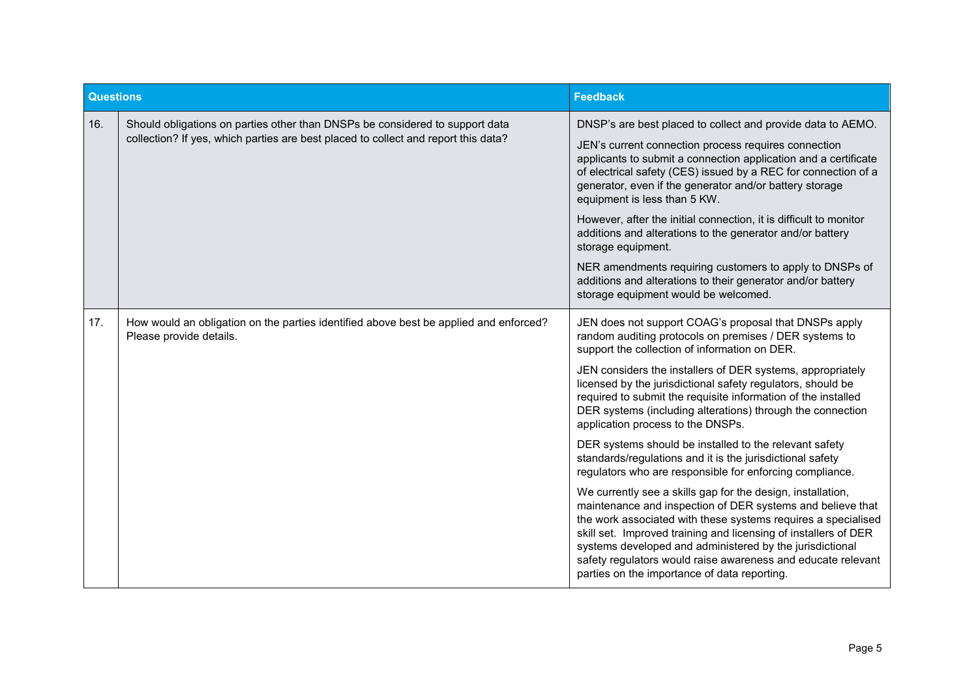| <b>Questions</b> |                                                                                                                                                                    | <b>Feedback</b>                                                                                                                                                                                                                                                                                                                                                                                                                           |
|------------------|--------------------------------------------------------------------------------------------------------------------------------------------------------------------|-------------------------------------------------------------------------------------------------------------------------------------------------------------------------------------------------------------------------------------------------------------------------------------------------------------------------------------------------------------------------------------------------------------------------------------------|
| 16.              | Should obligations on parties other than DNSPs be considered to support data<br>collection? If yes, which parties are best placed to collect and report this data? | DNSP's are best placed to collect and provide data to AEMO.                                                                                                                                                                                                                                                                                                                                                                               |
|                  |                                                                                                                                                                    | JEN's current connection process requires connection<br>applicants to submit a connection application and a certificate<br>of electrical safety (CES) issued by a REC for connection of a<br>generator, even if the generator and/or battery storage<br>equipment is less than 5 KW.                                                                                                                                                      |
|                  |                                                                                                                                                                    | However, after the initial connection, it is difficult to monitor<br>additions and alterations to the generator and/or battery<br>storage equipment.                                                                                                                                                                                                                                                                                      |
|                  |                                                                                                                                                                    | NER amendments requiring customers to apply to DNSPs of<br>additions and alterations to their generator and/or battery<br>storage equipment would be welcomed.                                                                                                                                                                                                                                                                            |
| 17.              | How would an obligation on the parties identified above best be applied and enforced?<br>Please provide details.                                                   | JEN does not support COAG's proposal that DNSPs apply<br>random auditing protocols on premises / DER systems to<br>support the collection of information on DER.                                                                                                                                                                                                                                                                          |
|                  |                                                                                                                                                                    | JEN considers the installers of DER systems, appropriately<br>licensed by the jurisdictional safety regulators, should be<br>required to submit the requisite information of the installed<br>DER systems (including alterations) through the connection<br>application process to the DNSPs.                                                                                                                                             |
|                  |                                                                                                                                                                    | DER systems should be installed to the relevant safety<br>standards/regulations and it is the jurisdictional safety<br>regulators who are responsible for enforcing compliance.                                                                                                                                                                                                                                                           |
|                  |                                                                                                                                                                    | We currently see a skills gap for the design, installation,<br>maintenance and inspection of DER systems and believe that<br>the work associated with these systems requires a specialised<br>skill set. Improved training and licensing of installers of DER<br>systems developed and administered by the jurisdictional<br>safety regulators would raise awareness and educate relevant<br>parties on the importance of data reporting. |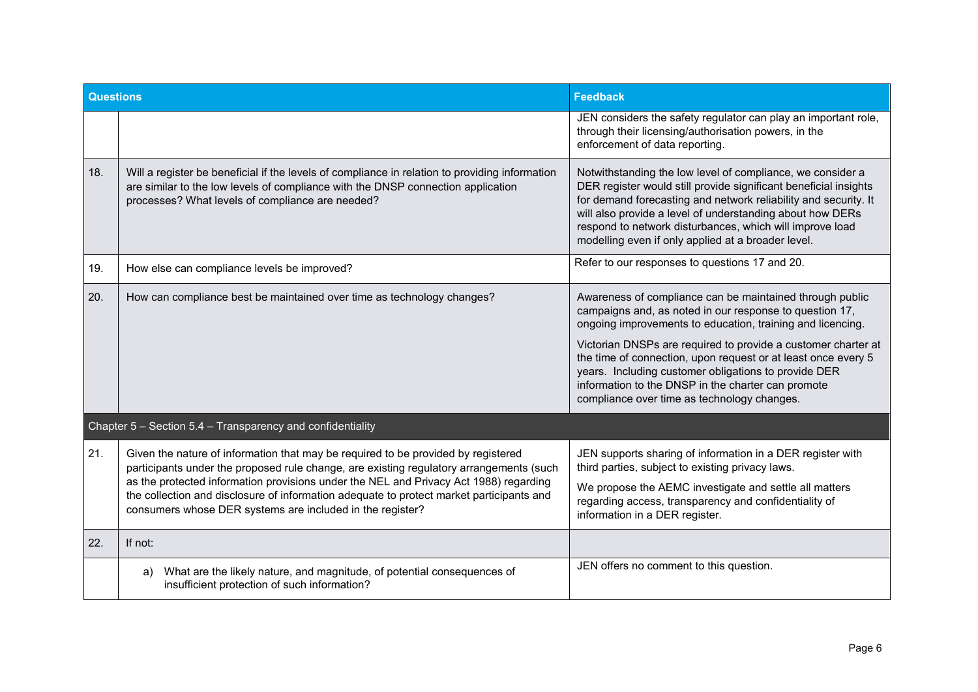| <b>Questions</b>                                           |                                                                                                                                                                                                                                                                                                                                                                                                                                | <b>Feedback</b>                                                                                                                                                                                                                                                                                                                                                                  |
|------------------------------------------------------------|--------------------------------------------------------------------------------------------------------------------------------------------------------------------------------------------------------------------------------------------------------------------------------------------------------------------------------------------------------------------------------------------------------------------------------|----------------------------------------------------------------------------------------------------------------------------------------------------------------------------------------------------------------------------------------------------------------------------------------------------------------------------------------------------------------------------------|
|                                                            |                                                                                                                                                                                                                                                                                                                                                                                                                                | JEN considers the safety regulator can play an important role,<br>through their licensing/authorisation powers, in the<br>enforcement of data reporting.                                                                                                                                                                                                                         |
| 18.                                                        | Will a register be beneficial if the levels of compliance in relation to providing information<br>are similar to the low levels of compliance with the DNSP connection application<br>processes? What levels of compliance are needed?                                                                                                                                                                                         | Notwithstanding the low level of compliance, we consider a<br>DER register would still provide significant beneficial insights<br>for demand forecasting and network reliability and security. It<br>will also provide a level of understanding about how DERs<br>respond to network disturbances, which will improve load<br>modelling even if only applied at a broader level. |
| 19.                                                        | How else can compliance levels be improved?                                                                                                                                                                                                                                                                                                                                                                                    | Refer to our responses to questions 17 and 20.                                                                                                                                                                                                                                                                                                                                   |
| 20.                                                        | How can compliance best be maintained over time as technology changes?                                                                                                                                                                                                                                                                                                                                                         | Awareness of compliance can be maintained through public<br>campaigns and, as noted in our response to question 17,<br>ongoing improvements to education, training and licencing.<br>Victorian DNSPs are required to provide a customer charter at                                                                                                                               |
|                                                            |                                                                                                                                                                                                                                                                                                                                                                                                                                | the time of connection, upon request or at least once every 5<br>years. Including customer obligations to provide DER<br>information to the DNSP in the charter can promote<br>compliance over time as technology changes.                                                                                                                                                       |
| Chapter 5 - Section 5.4 - Transparency and confidentiality |                                                                                                                                                                                                                                                                                                                                                                                                                                |                                                                                                                                                                                                                                                                                                                                                                                  |
| 21.                                                        | Given the nature of information that may be required to be provided by registered<br>participants under the proposed rule change, are existing regulatory arrangements (such<br>as the protected information provisions under the NEL and Privacy Act 1988) regarding<br>the collection and disclosure of information adequate to protect market participants and<br>consumers whose DER systems are included in the register? | JEN supports sharing of information in a DER register with<br>third parties, subject to existing privacy laws.                                                                                                                                                                                                                                                                   |
|                                                            |                                                                                                                                                                                                                                                                                                                                                                                                                                | We propose the AEMC investigate and settle all matters<br>regarding access, transparency and confidentiality of<br>information in a DER register.                                                                                                                                                                                                                                |
| 22.                                                        | If not:                                                                                                                                                                                                                                                                                                                                                                                                                        |                                                                                                                                                                                                                                                                                                                                                                                  |
|                                                            | What are the likely nature, and magnitude, of potential consequences of<br>a)<br>insufficient protection of such information?                                                                                                                                                                                                                                                                                                  | JEN offers no comment to this question.                                                                                                                                                                                                                                                                                                                                          |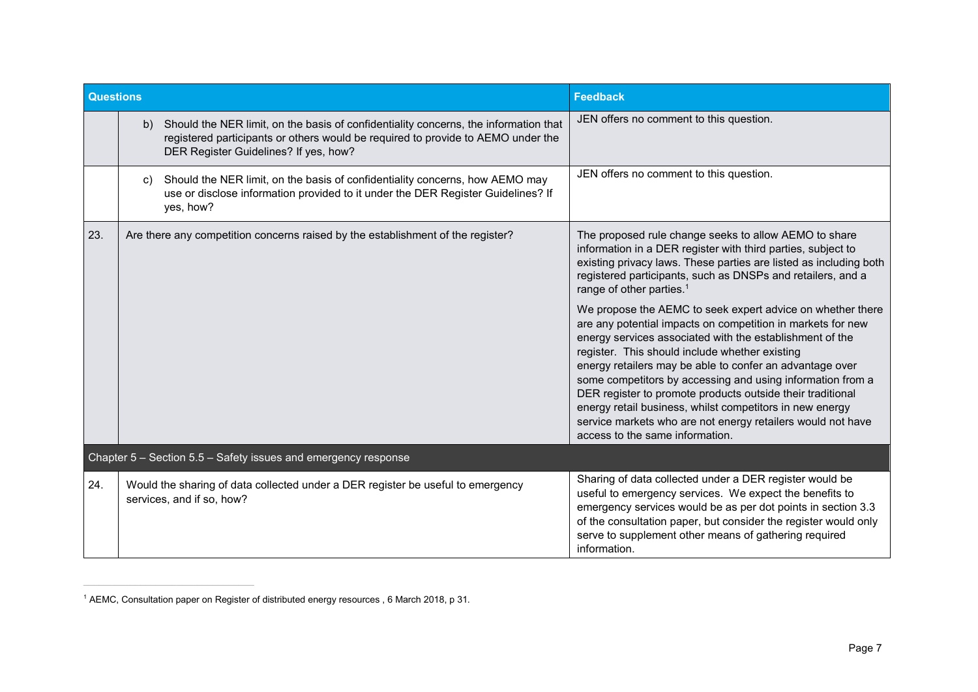| <b>Questions</b>                                               |                                                                                                                                                                                                                         | <b>Feedback</b>                                                                                                                                                                                                                                                                                                                                                                                                                                                                                                                                                                               |
|----------------------------------------------------------------|-------------------------------------------------------------------------------------------------------------------------------------------------------------------------------------------------------------------------|-----------------------------------------------------------------------------------------------------------------------------------------------------------------------------------------------------------------------------------------------------------------------------------------------------------------------------------------------------------------------------------------------------------------------------------------------------------------------------------------------------------------------------------------------------------------------------------------------|
|                                                                | Should the NER limit, on the basis of confidentiality concerns, the information that<br>b)<br>registered participants or others would be required to provide to AEMO under the<br>DER Register Guidelines? If yes, how? | JEN offers no comment to this question.                                                                                                                                                                                                                                                                                                                                                                                                                                                                                                                                                       |
|                                                                | Should the NER limit, on the basis of confidentiality concerns, how AEMO may<br>C)<br>use or disclose information provided to it under the DER Register Guidelines? If<br>yes, how?                                     | JEN offers no comment to this question.                                                                                                                                                                                                                                                                                                                                                                                                                                                                                                                                                       |
| 23.                                                            | Are there any competition concerns raised by the establishment of the register?                                                                                                                                         | The proposed rule change seeks to allow AEMO to share<br>information in a DER register with third parties, subject to<br>existing privacy laws. These parties are listed as including both<br>registered participants, such as DNSPs and retailers, and a<br>range of other parties. <sup>1</sup>                                                                                                                                                                                                                                                                                             |
|                                                                |                                                                                                                                                                                                                         | We propose the AEMC to seek expert advice on whether there<br>are any potential impacts on competition in markets for new<br>energy services associated with the establishment of the<br>register. This should include whether existing<br>energy retailers may be able to confer an advantage over<br>some competitors by accessing and using information from a<br>DER register to promote products outside their traditional<br>energy retail business, whilst competitors in new energy<br>service markets who are not energy retailers would not have<br>access to the same information. |
| Chapter 5 - Section 5.5 - Safety issues and emergency response |                                                                                                                                                                                                                         |                                                                                                                                                                                                                                                                                                                                                                                                                                                                                                                                                                                               |
| 24.                                                            | Would the sharing of data collected under a DER register be useful to emergency<br>services, and if so, how?                                                                                                            | Sharing of data collected under a DER register would be<br>useful to emergency services. We expect the benefits to<br>emergency services would be as per dot points in section 3.3<br>of the consultation paper, but consider the register would only<br>serve to supplement other means of gathering required<br>information.                                                                                                                                                                                                                                                                |

<sup>1</sup> AEMC, Consultation paper on Register of distributed energy resources , 6 March 2018, p 31.